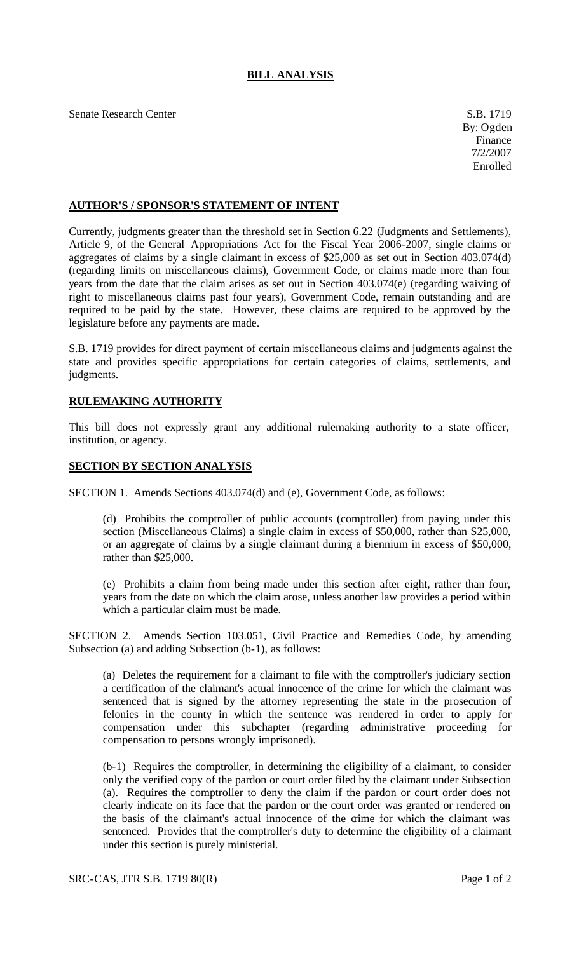## **BILL ANALYSIS**

Senate Research Center S.B. 1719

## **AUTHOR'S / SPONSOR'S STATEMENT OF INTENT**

Currently, judgments greater than the threshold set in Section 6.22 (Judgments and Settlements), Article 9, of the General Appropriations Act for the Fiscal Year 2006-2007, single claims or aggregates of claims by a single claimant in excess of \$25,000 as set out in Section 403.074(d) (regarding limits on miscellaneous claims), Government Code, or claims made more than four years from the date that the claim arises as set out in Section 403.074(e) (regarding waiving of right to miscellaneous claims past four years), Government Code, remain outstanding and are required to be paid by the state. However, these claims are required to be approved by the legislature before any payments are made.

S.B. 1719 provides for direct payment of certain miscellaneous claims and judgments against the state and provides specific appropriations for certain categories of claims, settlements, and judgments.

## **RULEMAKING AUTHORITY**

This bill does not expressly grant any additional rulemaking authority to a state officer, institution, or agency.

## **SECTION BY SECTION ANALYSIS**

SECTION 1. Amends Sections 403.074(d) and (e), Government Code, as follows:

(d) Prohibits the comptroller of public accounts (comptroller) from paying under this section (Miscellaneous Claims) a single claim in excess of \$50,000, rather than S25,000, or an aggregate of claims by a single claimant during a biennium in excess of \$50,000, rather than \$25,000.

(e) Prohibits a claim from being made under this section after eight, rather than four, years from the date on which the claim arose, unless another law provides a period within which a particular claim must be made.

SECTION 2. Amends Section 103.051, Civil Practice and Remedies Code, by amending Subsection (a) and adding Subsection (b-1), as follows:

(a) Deletes the requirement for a claimant to file with the comptroller's judiciary section a certification of the claimant's actual innocence of the crime for which the claimant was sentenced that is signed by the attorney representing the state in the prosecution of felonies in the county in which the sentence was rendered in order to apply for compensation under this subchapter (regarding administrative proceeding for compensation to persons wrongly imprisoned).

(b-1) Requires the comptroller, in determining the eligibility of a claimant, to consider only the verified copy of the pardon or court order filed by the claimant under Subsection (a). Requires the comptroller to deny the claim if the pardon or court order does not clearly indicate on its face that the pardon or the court order was granted or rendered on the basis of the claimant's actual innocence of the crime for which the claimant was sentenced. Provides that the comptroller's duty to determine the eligibility of a claimant under this section is purely ministerial.